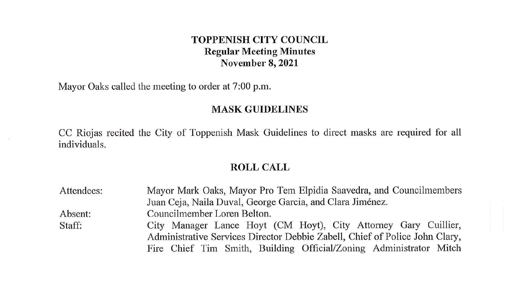## **TOPPENISH CITY COUNCIL Regular Meeting Minutes November 8, 2021**

Mayor Oaks called the meeting to order at 7:00 p.m.

#### **MASK GUIDELINES**

CC Riojas recited the City of Toppenish Mask Guidelines to direct masks are required for all individuals.

#### **ROLL CALL**

| Attendees:                                                                  | Mayor Mark Oaks, Mayor Pro Tem Elpidia Saavedra, and Councilmembers<br>Juan Ceja, Naila Duval, George Garcia, and Clara Jiménez. |  |  |
|-----------------------------------------------------------------------------|----------------------------------------------------------------------------------------------------------------------------------|--|--|
|                                                                             |                                                                                                                                  |  |  |
| Absent:                                                                     | Councilmember Loren Belton.                                                                                                      |  |  |
| Staff:                                                                      | City Manager Lance Hoyt (CM Hoyt), City Attorney Gary Cuillier,                                                                  |  |  |
| Administrative Services Director Debbie Zabell, Chief of Police John Clary, |                                                                                                                                  |  |  |
|                                                                             | Fire Chief Tim Smith, Building Official/Zoning Administrator Mitch                                                               |  |  |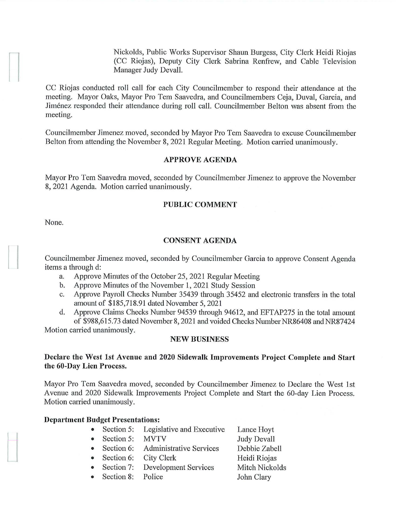Nickolds, Public Works Supervisor Shaun Burgess, City Clerk Heidi Riojas (CC Riojas), Deputy City Clerk Sabrina Renfrew, and Cable Television Manager Judy Devall.

CC Riojas conducted roll call for each City Councilmember to respond their attendance at the meeting. Mayor Oaks, Mayor Pro Tem Saavedra, and Councilmembers Ceja, Duval, Garcia, and Jimenez responded their attendance during roll call. Councilmember Belton was absent from the meeting.

Councilmember Jimenez moved, seconded by Mayor Pro Tern Saavedra to excuse Councilmember Belton from attending the November 8, 2021 Regular Meeting. Motion carried unanimously.

#### **APPROVE AGENDA**

Mayor Pro Tem Saavedra moved, seconded by Councilmember Jimenez to approve the November 8, 2021 Agenda. Motion carried unanimously.

## **PUBLIC COMMENT**

None.

 $\frac{1}{2}$ 

#### **CONSENT AGENDA**

Councilmember Jimenez moved, seconded by Councilmember Garcia to approve Consent Agenda items a through d:

- a. Approve Minutes of the October 25, 2021 Regular Meeting
- b. Approve Minutes of the November 1, 2021 Study Session
- c. Approve Payroll Checks Number 35439 through 35452 and electronic transfers in the total amount of \$185,718.91 dated November 5, 2021
- d. Approve Claims Checks Number 94539 through 94612, and EFTAP275 in the total amount of \$988,615.73 dated November 8, 2021 and voided Checks Number NR86408 and NR87424

Motion carried unanimously.

#### **NEW BUSINESS**

### **Declare the West 1st Avenue and 2020 Sidewalk Improvements Project Complete and Start the 60-Day Lien Process.**

Mayor Pro Tem Saavedra moved, seconded by Councilmember Jimenez to Declare the West 1st A venue and 2020 Sidewalk Improvements Project Complete and Start the 60-day Lien Process. Motion carried unanimously.

> Debbie Zabell Heidi Riojas Mitch Nickolds John Clary

#### **Department Budget Presentations:**

- Section 5: Legislative and Executive • Section 5: MVTV Lance Hoyt Judy Devall
- Section 6: Administrative Services
- Section 6: City Clerk
- Section 7: Development Services
- Section 8: Police